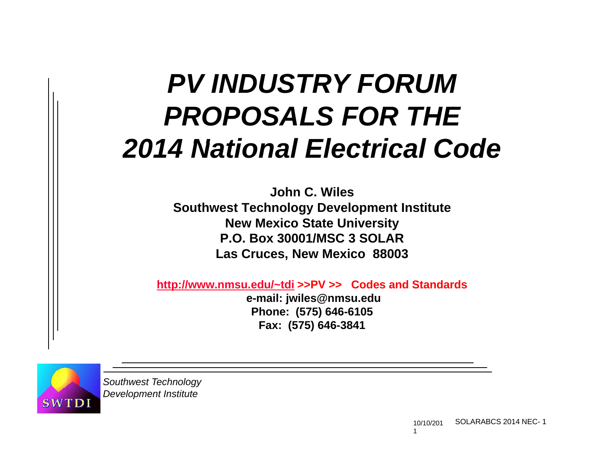# *PV INDUSTRY FORUMPROPOSALS FOR THE2014 N ti l El t i l C d Nationa Electricaode*

**John C. WilesSouthwest Technology Development Institute New Mexico State University P.O. Box 30001/MSC 3 SOLARLas Cruces, New Mexico 88003**

**http://www.nmsu.edu/~tdi >>PV >> Codes and Standards**

**e-mail: jwiles@nmsu.edu Phone: ( ) 575 646-6105 Fax: (575) 646-3841**

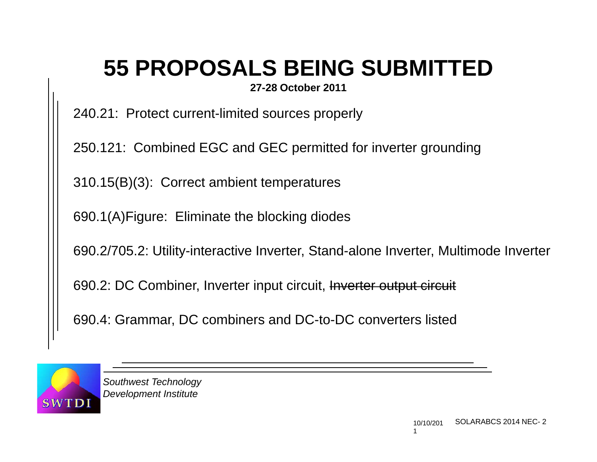## **55 PROPOSALS BEING SUBMITTED**

**27-28 O t b 2011 28 ctober** 

240.21: Protect current-limited sources properly

250.121: Combined EGC and GEC permitted for inverter grounding

310.15(B)(3): Correct ambient temperatures

690.1(A)Figure: Eliminate the blocking diodes

690.2/705.2: Utility-interactive Inverter, Stand-alone Inverter, Multimode Inverter

690.2: DC Combiner, Inverter input circuit, Inverter output circuit

690.4: Grammar, DC combiners and DC-to-DC converters listed

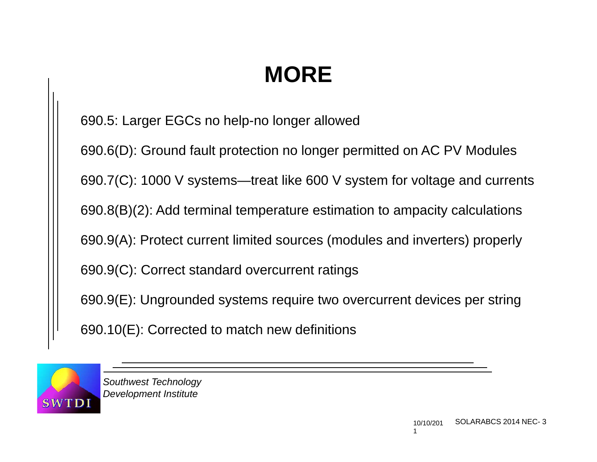690.5: Larger EGCs no help-no longer allowed

690.6(D): Ground fault protection no longer permitted on AC PV Modules 690.7(C): 1000 V systems—treat like 600 V system for voltage and currents 690.8(B)(2): Add terminal temperature estimation to ampacity calculations 690.9(A): Protect current limited sources (modules and inverters) properly 690.9(C): Correct standard overcurrent ratings 690.9(E): Ungrounded systems require two overcurrent devices per string 690.10(E): Corrected to match new definitions

TD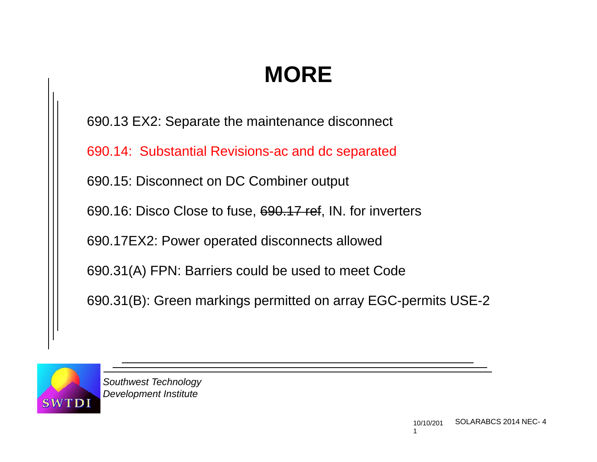690.13 EX2: Separate the maintenance disconnect

690.14: Substantial Revisions-ac and dc separated

690.15: Disconnect on DC Combiner output

690.16: Disco Close to fuse, 690.17 ref, IN. for inverters

690.17EX2: Power operated disconnects allowed

690.31(A) FPN: Barriers could be used to meet Code

690.31(B): Green markings permitted on array EGC-permits USE-2

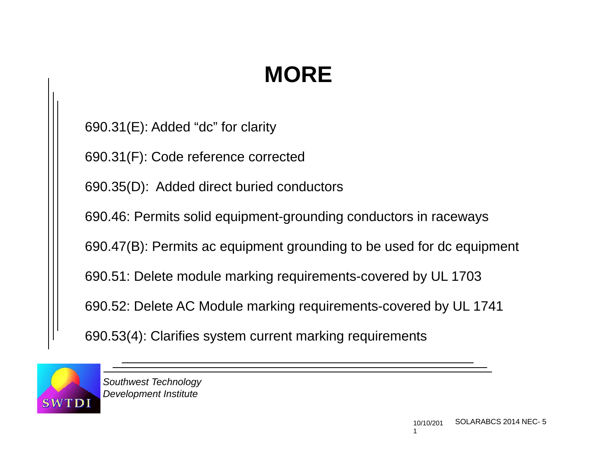690.31(E): Added "dc" for clarity

690.31(F): Code reference corrected

690.35(D): Added direct buried conductors

690.46: Permits solid equipment-grounding conductors in raceways

690.47(B): Permits ac equipment grounding to be used for dc equipment

690.51: Delete module marking requirements-covered by UL 1703

690.52: Delete AC Module marking requirements-covered by UL 1741

690.53(4): Clarifies system current marking requirements

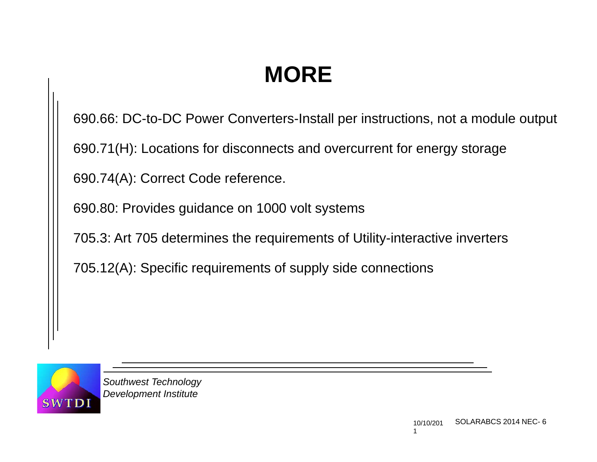690.66: DC-to-DC Power Converters-Install per instructions, not a module output

690.71(H): Locations for disconnects and overcurrent for energy storage

690.74(A): Correct Code reference.

690.80: Provides guidance on 1000 volt systems

705.3: Art 705 determines the requirements of Utility-interactive inverters

705.12(A): Specific requirements of supply side connections